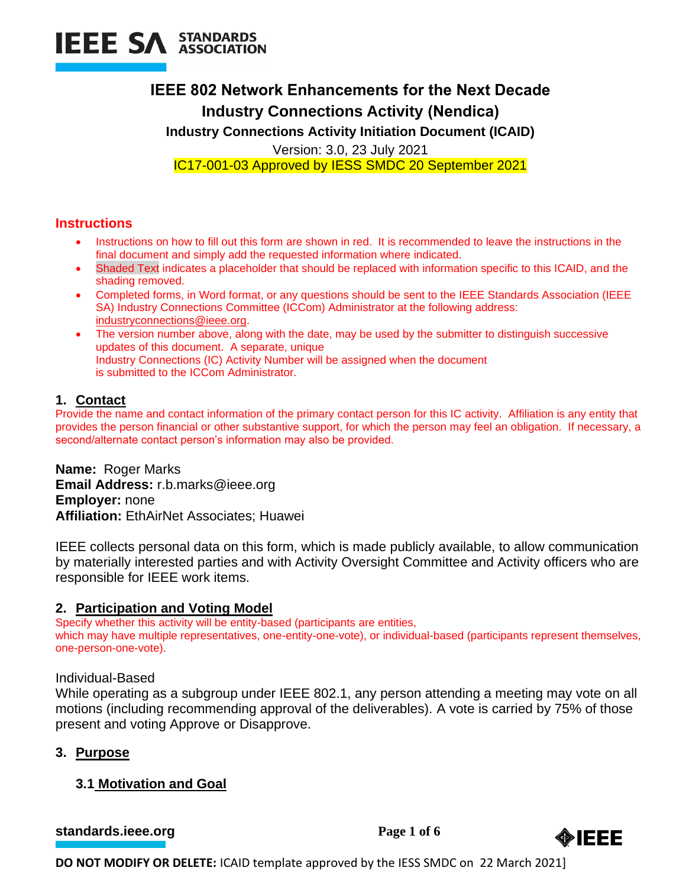

# **IEEE 802 Network Enhancements for the Next Decade Industry Connections Activity (Nendica)**

**Industry Connections Activity Initiation Document (ICAID)**

Version: 3.0, 23 July 2021

IC17-001-03 Approved by IESS SMDC 20 September 2021

## **Instructions**

- Instructions on how to fill out this form are shown in red. It is recommended to leave the instructions in the final document and simply add the requested information where indicated.
- Shaded Text indicates a placeholder that should be replaced with information specific to this ICAID, and the shading removed.
- Completed forms, in Word format, or any questions should be sent to the IEEE Standards Association (IEEE SA) Industry Connections Committee (ICCom) Administrator at the following address: [industryconnections@ieee.org.](mailto:industryconnections@ieee.org)
- The version number above, along with the date, may be used by the submitter to distinguish successive updates of this document. A separate, unique Industry Connections (IC) Activity Number will be assigned when the document is submitted to the ICCom Administrator.

## **1. Contact**

Provide the name and contact information of the primary contact person for this IC activity. Affiliation is any entity that provides the person financial or other substantive support, for which the person may feel an obligation. If necessary, a second/alternate contact person's information may also be provided.

**Name:** Roger Marks **Email Address:** r.b.marks@ieee.org **Employer:** none **Affiliation:** EthAirNet Associates; Huawei

IEEE collects personal data on this form, which is made publicly available, to allow communication by materially interested parties and with Activity Oversight Committee and Activity officers who are responsible for IEEE work items.

## **2. Participation and Voting Model**

Specify whether this activity will be entity-based (participants are entities, which may have multiple representatives, one-entity-one-vote), or individual-based (participants represent themselves, one-person-one-vote).

## Individual-Based

While operating as a subgroup under IEEE 802.1, any person attending a meeting may vote on all motions (including recommending approval of the deliverables). A vote is carried by 75% of those present and voting Approve or Disapprove.

## **3. Purpose**

# **3.1 Motivation and Goal**

**[standards.ieee.org](http://standards.ieee.org/)** Page 1 of 6

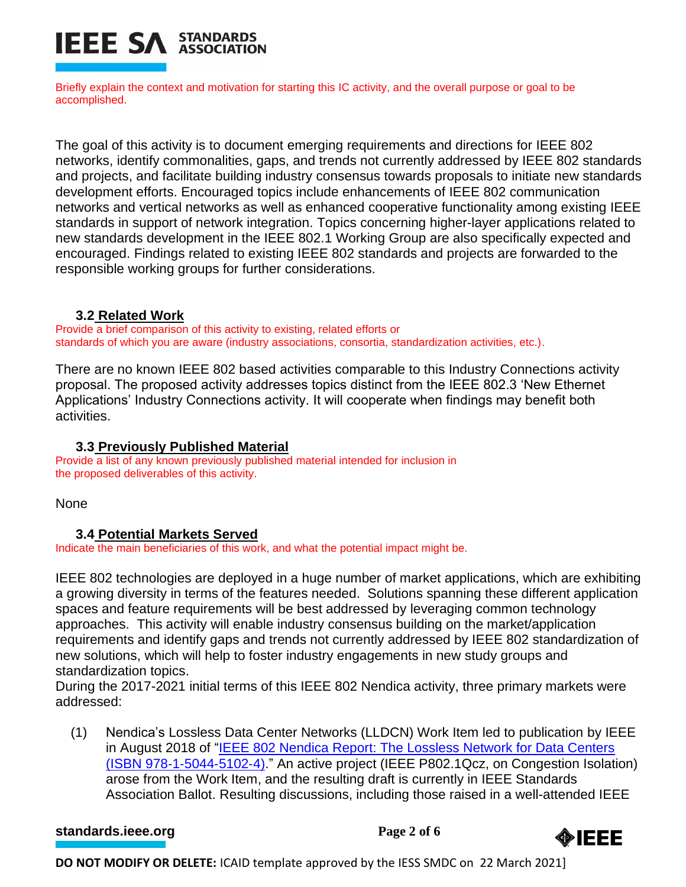

Briefly explain the context and motivation for starting this IC activity, and the overall purpose or goal to be accomplished.

The goal of this activity is to document emerging requirements and directions for IEEE 802 networks, identify commonalities, gaps, and trends not currently addressed by IEEE 802 standards and projects, and facilitate building industry consensus towards proposals to initiate new standards development efforts. Encouraged topics include enhancements of IEEE 802 communication networks and vertical networks as well as enhanced cooperative functionality among existing IEEE standards in support of network integration. Topics concerning higher-layer applications related to new standards development in the IEEE 802.1 Working Group are also specifically expected and encouraged. Findings related to existing IEEE 802 standards and projects are forwarded to the responsible working groups for further considerations.

#### **3.2 Related Work**

Provide a brief comparison of this activity to existing, related efforts or standards of which you are aware (industry associations, consortia, standardization activities, etc.).

There are no known IEEE 802 based activities comparable to this Industry Connections activity proposal. The proposed activity addresses topics distinct from the IEEE 802.3 'New Ethernet Applications' Industry Connections activity. It will cooperate when findings may benefit both activities.

## **3.3 Previously Published Material**

Provide a list of any known previously published material intended for inclusion in the proposed deliverables of this activity.

None

## **3.4 Potential Markets Served**

Indicate the main beneficiaries of this work, and what the potential impact might be.

IEEE 802 technologies are deployed in a huge number of market applications, which are exhibiting a growing diversity in terms of the features needed. Solutions spanning these different application spaces and feature requirements will be best addressed by leveraging common technology approaches. This activity will enable industry consensus building on the market/application requirements and identify gaps and trends not currently addressed by IEEE 802 standardization of new solutions, which will help to foster industry engagements in new study groups and standardization topics.

During the 2017-2021 initial terms of this IEEE 802 Nendica activity, three primary markets were addressed:

(1) Nendica's Lossless Data Center Networks (LLDCN) Work Item led to publication by IEEE in August 2018 of ["IEEE 802 Nendica Report: The Lossless Network for Data Centers](https://mentor.ieee.org/802.1/dcn/18/1-18-0042-00-ICne.pdf)  [\(ISBN 978](https://mentor.ieee.org/802.1/dcn/18/1-18-0042-00-ICne.pdf)‐1‐5044‐5102‐4)." An active project (IEEE P802.1Qcz, on Congestion Isolation) arose from the Work Item, and the resulting draft is currently in IEEE Standards Association Ballot. Resulting discussions, including those raised in a well-attended IEEE

**[standards.ieee.org](http://standards.ieee.org/)**<br> **Page 2** of 6

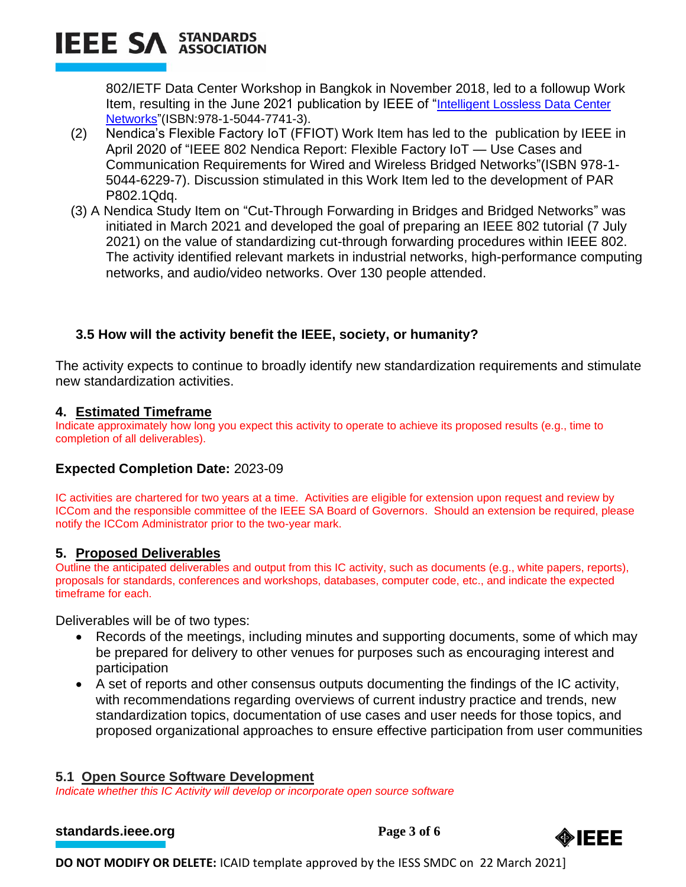

802/IETF Data Center Workshop in Bangkok in November 2018, led to a followup Work Item, resulting in the June 2021 publication by IEEE of "[Intelligent Lossless Data Center](https://ieeexplore.ieee.org/document/9457238)  [Networks"](https://ieeexplore.ieee.org/document/9457238)(ISBN:978-1-5044-7741-3).

- (2) Nendica's Flexible Factory IoT (FFIOT) Work Item has led to the publication by IEEE in April 2020 of "IEEE 802 Nendica Report: Flexible Factory IoT — Use Cases and Communication Requirements for Wired and Wireless Bridged Networks"(ISBN 978-1- 5044-6229-7). Discussion stimulated in this Work Item led to the development of PAR P802.1Qdq.
- (3) A Nendica Study Item on "Cut-Through Forwarding in Bridges and Bridged Networks" was initiated in March 2021 and developed the goal of preparing an IEEE 802 tutorial (7 July 2021) on the value of standardizing cut-through forwarding procedures within IEEE 802. The activity identified relevant markets in industrial networks, high-performance computing networks, and audio/video networks. Over 130 people attended.

## **3.5 How will the activity benefit the IEEE, society, or humanity?**

The activity expects to continue to broadly identify new standardization requirements and stimulate new standardization activities.

#### **4. Estimated Timeframe**

Indicate approximately how long you expect this activity to operate to achieve its proposed results (e.g., time to completion of all deliverables).

## **Expected Completion Date:** 2023-09

IC activities are chartered for two years at a time. Activities are eligible for extension upon request and review by ICCom and the responsible committee of the IEEE SA Board of Governors. Should an extension be required, please notify the ICCom Administrator prior to the two-year mark.

#### **5. Proposed Deliverables**

Outline the anticipated deliverables and output from this IC activity, such as documents (e.g., white papers, reports), proposals for standards, conferences and workshops, databases, computer code, etc., and indicate the expected timeframe for each.

Deliverables will be of two types:

- Records of the meetings, including minutes and supporting documents, some of which may be prepared for delivery to other venues for purposes such as encouraging interest and participation
- A set of reports and other consensus outputs documenting the findings of the IC activity, with recommendations regarding overviews of current industry practice and trends, new standardization topics, documentation of use cases and user needs for those topics, and proposed organizational approaches to ensure effective participation from user communities

#### **5.1 Open Source Software Development**

*Indicate whether this IC Activity will develop or incorporate open source software*

```
standards.ieee.org<br>
Page 3 of 6
```
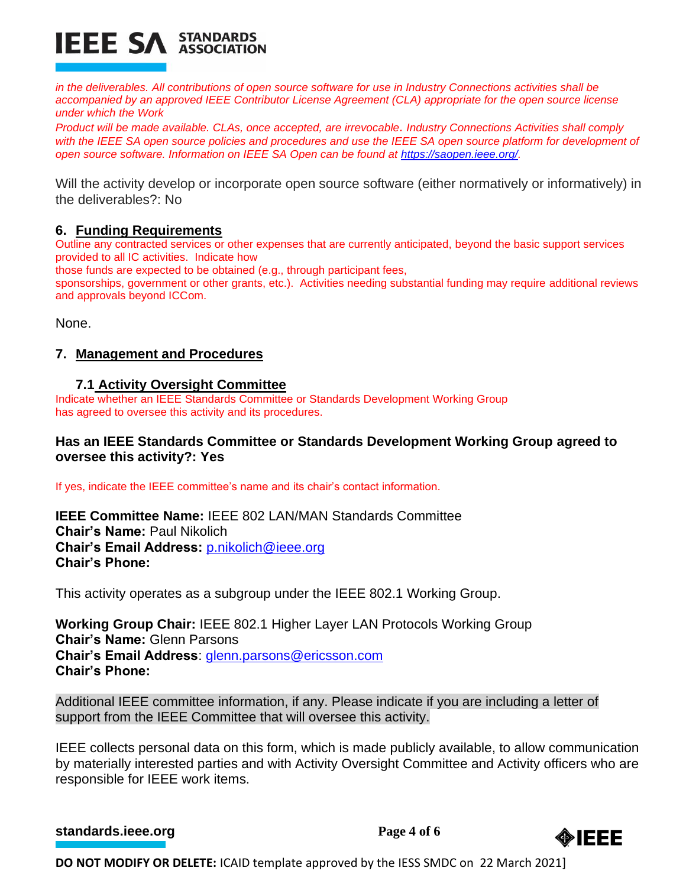

*in the deliverables. All contributions of open source software for use in Industry Connections activities shall be accompanied by an approved IEEE Contributor License Agreement (CLA) appropriate for the open source license under which the Work* 

*Product will be made available. CLAs, once accepted, are irrevocable. Industry Connections Activities shall comply*  with the IEEE SA open source policies and procedures and use the IEEE SA open source platform for development of *open source software. Information on IEEE SA Open can be found at [https://saopen.ieee.org/.](https://saopen.ieee.org/)* 

Will the activity develop or incorporate open source software (either normatively or informatively) in the deliverables?: No

### **6. Funding Requirements**

Outline any contracted services or other expenses that are currently anticipated, beyond the basic support services provided to all IC activities. Indicate how

those funds are expected to be obtained (e.g., through participant fees,

sponsorships, government or other grants, etc.). Activities needing substantial funding may require additional reviews and approvals beyond ICCom.

None.

## **7. Management and Procedures**

#### **7.1 Activity Oversight Committee**

Indicate whether an IEEE Standards Committee or Standards Development Working Group has agreed to oversee this activity and its procedures.

## **Has an IEEE Standards Committee or Standards Development Working Group agreed to oversee this activity?: Yes**

If yes, indicate the IEEE committee's name and its chair's contact information.

**IEEE Committee Name:** IEEE 802 LAN/MAN Standards Committee **Chair's Name:** Paul Nikolich **Chair's Email Address:** [p.nikolich@ieee.org](mailto:p.nikolich@ieee.org) **Chair's Phone:**

This activity operates as a subgroup under the IEEE 802.1 Working Group.

**Working Group Chair:** IEEE 802.1 Higher Layer LAN Protocols Working Group **Chair's Name:** Glenn Parsons **Chair's Email Address**: [glenn.parsons@ericsson.com](mailto:glenn.parsons@ericsson.com) **Chair's Phone:**

Additional IEEE committee information, if any. Please indicate if you are including a letter of support from the IEEE Committee that will oversee this activity.

IEEE collects personal data on this form, which is made publicly available, to allow communication by materially interested parties and with Activity Oversight Committee and Activity officers who are responsible for IEEE work items.

**[standards.ieee.org](http://standards.ieee.org/)**<br> **Page 4** of 6

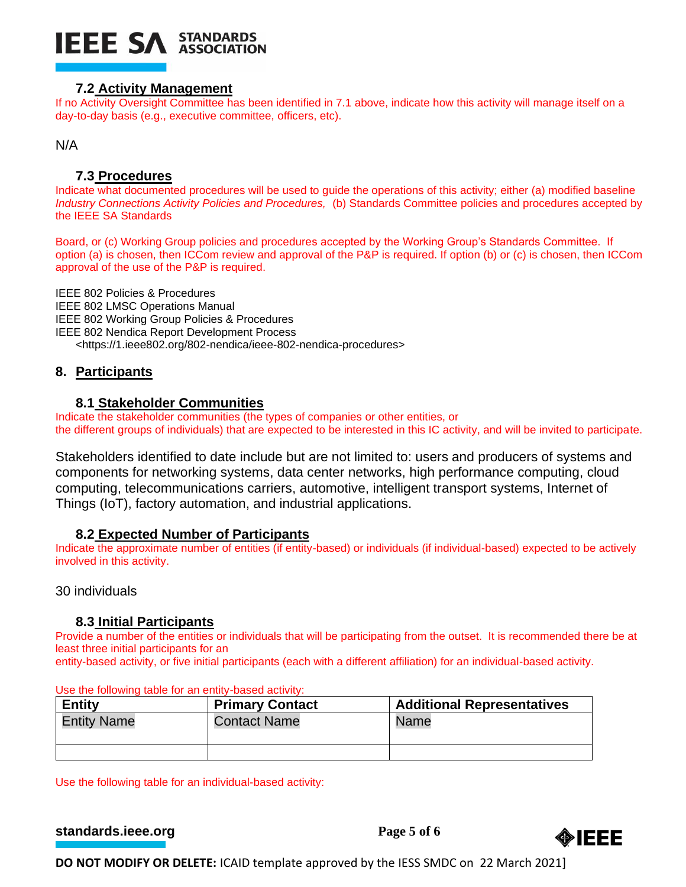

#### **7.2 Activity Management**

If no Activity Oversight Committee has been identified in 7.1 above, indicate how this activity will manage itself on a day-to-day basis (e.g., executive committee, officers, etc).

N/A

#### **7.3 Procedures**

Indicate what documented procedures will be used to guide the operations of this activity; either (a) modified baseline *Industry Connections Activity Policies and Procedures,* (b) Standards Committee policies and procedures accepted by the IEEE SA Standards

Board, or (c) Working Group policies and procedures accepted by the Working Group's Standards Committee. If option (a) is chosen, then ICCom review and approval of the P&P is required. If option (b) or (c) is chosen, then ICCom approval of the use of the P&P is required.

IEEE 802 Policies & Procedures IEEE 802 LMSC Operations Manual IEEE 802 Working Group Policies & Procedures IEEE 802 Nendica Report Development Process <https://1.ieee802.org/802-nendica/ieee-802-nendica-procedures>

#### **8. Participants**

#### **8.1 Stakeholder Communities**

Indicate the stakeholder communities (the types of companies or other entities, or the different groups of individuals) that are expected to be interested in this IC activity, and will be invited to participate.

Stakeholders identified to date include but are not limited to: users and producers of systems and components for networking systems, data center networks, high performance computing, cloud computing, telecommunications carriers, automotive, intelligent transport systems, Internet of Things (IoT), factory automation, and industrial applications.

#### **8.2 Expected Number of Participants**

Indicate the approximate number of entities (if entity-based) or individuals (if individual-based) expected to be actively involved in this activity.

30 individuals

#### **8.3 Initial Participants**

Provide a number of the entities or individuals that will be participating from the outset. It is recommended there be at least three initial participants for an

entity-based activity, or five initial participants (each with a different affiliation) for an individual-based activity.

| <b>Entity</b>      | <b>Primary Contact</b> | <b>Additional Representatives</b> |
|--------------------|------------------------|-----------------------------------|
| <b>Entity Name</b> | <b>Contact Name</b>    | Name                              |
|                    |                        |                                   |

Use the following table for an entity-based activity:

Use the following table for an individual-based activity:

**[standards.ieee.org](http://standards.ieee.org/) Page 5 of 6**